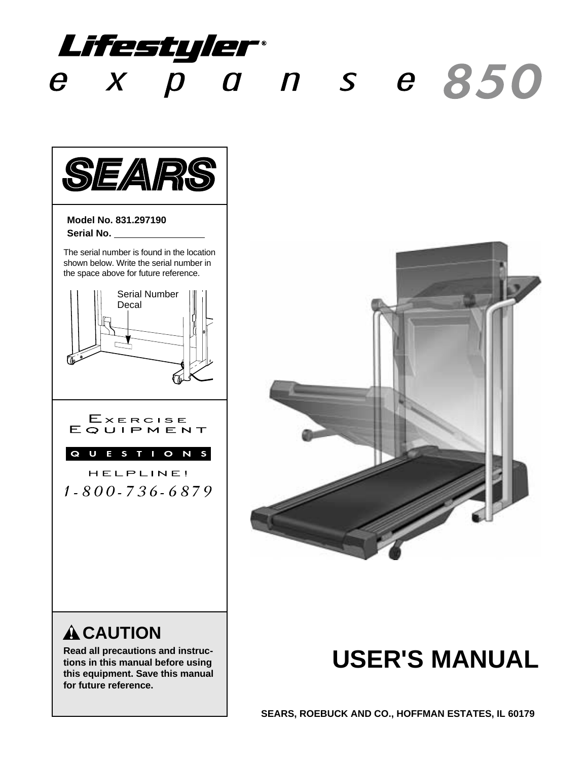

# e x p a n s e 850



### **Model No. 831.297190 Serial No.**

The serial number is found in the location shown below. Write the serial number in the space above for future reference.





HELPLINE!  $1 - 800 - 736 - 6879$ 



# **ACAUTION**

**Read all precautions and instructions in this manual before using this equipment. Save this manual for future reference.**

# **USER'S MANUAL**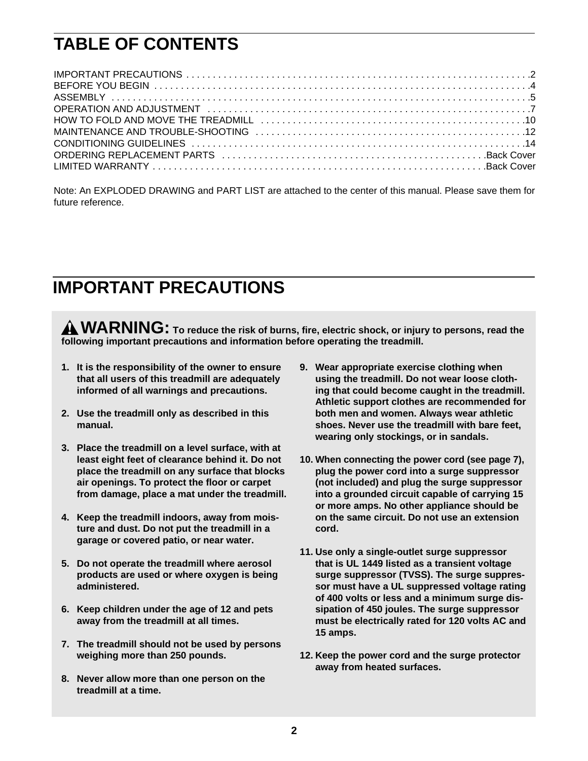# **TABLE OF CONTENTS**

Note: An EXPLODED DRAWING and PART LIST are attached to the center of this manual. Please save them for future reference.

# **IMPORTANT PRECAUTIONS**

**WARNING:** To reduce the risk of burns, fire, electric shock, or injury to persons, read the **following important precautions and information before operating the treadmill.**

- **1. It is the responsibility of the owner to ensure that all users of this treadmill are adequately informed of all warnings and precautions.**
- **2. Use the treadmill only as described in this manual.**
- **3. Place the treadmill on a level surface, with at least eight feet of clearance behind it. Do not place the treadmill on any surface that blocks air openings. To protect the floor or carpet from damage, place a mat under the treadmill.**
- **4. Keep the treadmill indoors, away from moisture and dust. Do not put the treadmill in a garage or covered patio, or near water.**
- **5. Do not operate the treadmill where aerosol products are used or where oxygen is being administered.**
- **6. Keep children under the age of 12 and pets away from the treadmill at all times.**
- **7. The treadmill should not be used by persons weighing more than 250 pounds.**
- **8. Never allow more than one person on the treadmill at a time.**
- **9. Wear appropriate exercise clothing when using the treadmill. Do not wear loose clothing that could become caught in the treadmill. Athletic support clothes are recommended for both men and women. Always wear athletic shoes. Never use the treadmill with bare feet, wearing only stockings, or in sandals.**
- **10. When connecting the power cord (see page 7), plug the power cord into a surge suppressor (not included) and plug the surge suppressor into a grounded circuit capable of carrying 15 or more amps. No other appliance should be on the same circuit. Do not use an extension cord.**
- **11. Use only a single-outlet surge suppressor that is UL 1449 listed as a transient voltage surge suppressor (TVSS). The surge suppressor must have a UL suppressed voltage rating of 400 volts or less and a minimum surge dissipation of 450 joules. The surge suppressor must be electrically rated for 120 volts AC and 15 amps.**
- **12. Keep the power cord and the surge protector away from heated surfaces.**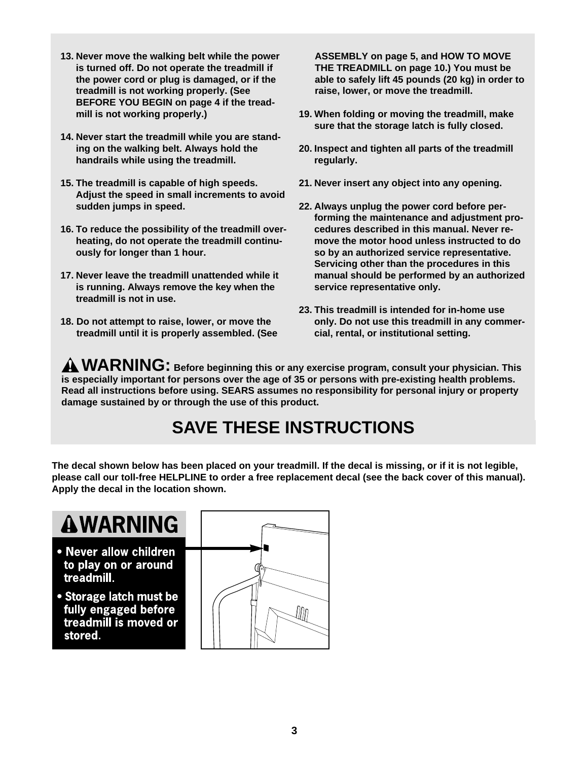- **13. Never move the walking belt while the power is turned off. Do not operate the treadmill if the power cord or plug is damaged, or if the treadmill is not working properly. (See BEFORE YOU BEGIN on page 4 if the treadmill is not working properly.)**
- **14. Never start the treadmill while you are standing on the walking belt. Always hold the handrails while using the treadmill.**
- **15. The treadmill is capable of high speeds. Adjust the speed in small increments to avoid sudden jumps in speed.**
- **16. To reduce the possibility of the treadmill overheating, do not operate the treadmill continuously for longer than 1 hour.**
- **17. Never leave the treadmill unattended while it is running. Always remove the key when the treadmill is not in use.**
- **18. Do not attempt to raise, lower, or move the treadmill until it is properly assembled. (See**

**ASSEMBLY on page 5, and HOW TO MOVE THE TREADMILL on page 10.) You must be able to safely lift 45 pounds (20 kg) in order to raise, lower, or move the treadmill.** 

- **19. When folding or moving the treadmill, make sure that the storage latch is fully closed.**
- **20. Inspect and tighten all parts of the treadmill regularly.**
- **21. Never insert any object into any opening.**
- **22. Always unplug the power cord before performing the maintenance and adjustment procedures described in this manual. Never remove the motor hood unless instructed to do so by an authorized service representative. Servicing other than the procedures in this manual should be performed by an authorized service representative only.**
- **23. This treadmill is intended for in-home use only. Do not use this treadmill in any commercial, rental, or institutional setting.**

**WARNING: Before beginning this or any exercise program, consult your physician. This is especially important for persons over the age of 35 or persons with pre-existing health problems. Read all instructions before using. SEARS assumes no responsibility for personal injury or property damage sustained by or through the use of this product.**

# **SAVE THESE INSTRUCTIONS**

**The decal shown below has been placed on your treadmill. If the decal is missing, or if it is not legible, please call our toll-free HELPLINE to order a free replacement decal (see the back cover of this manual). Apply the decal in the location shown.**

### **AWARNING** • Never allow children to play on or around treadmill. • Storage latch must be fully engaged before On treadmill is moved or stored.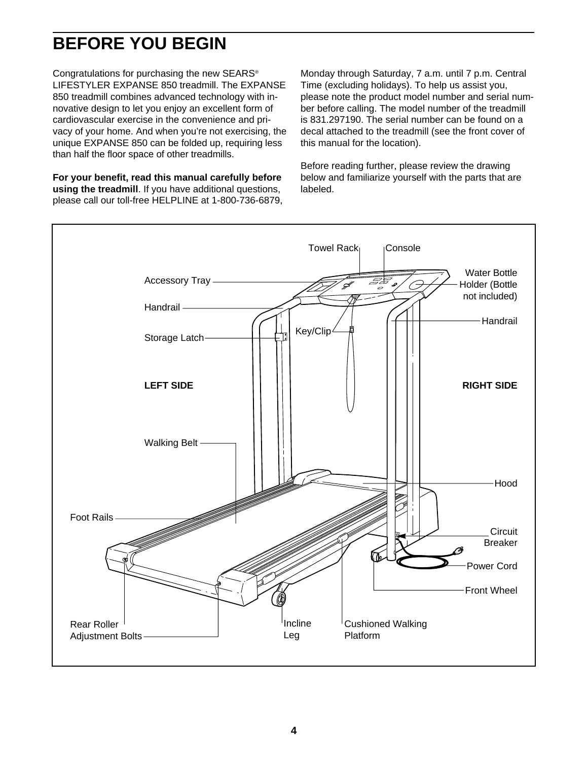# **BEFORE YOU BEGIN**

Congratulations for purchasing the new SEARS® LIFESTYLER EXPANSE 850 treadmill. The EXPANSE 850 treadmill combines advanced technology with innovative design to let you enjoy an excellent form of cardiovascular exercise in the convenience and privacy of your home. And when you're not exercising, the unique EXPANSE 850 can be folded up, requiring less than half the floor space of other treadmills.

**For your benefit, read this manual carefully before using the treadmill**. If you have additional questions, please call our toll-free HELPLINE at 1-800-736-6879, Monday through Saturday, 7 a.m. until 7 p.m. Central Time (excluding holidays). To help us assist you, please note the product model number and serial number before calling. The model number of the treadmill is 831.297190. The serial number can be found on a decal attached to the treadmill (see the front cover of this manual for the location).

Before reading further, please review the drawing below and familiarize yourself with the parts that are labeled.

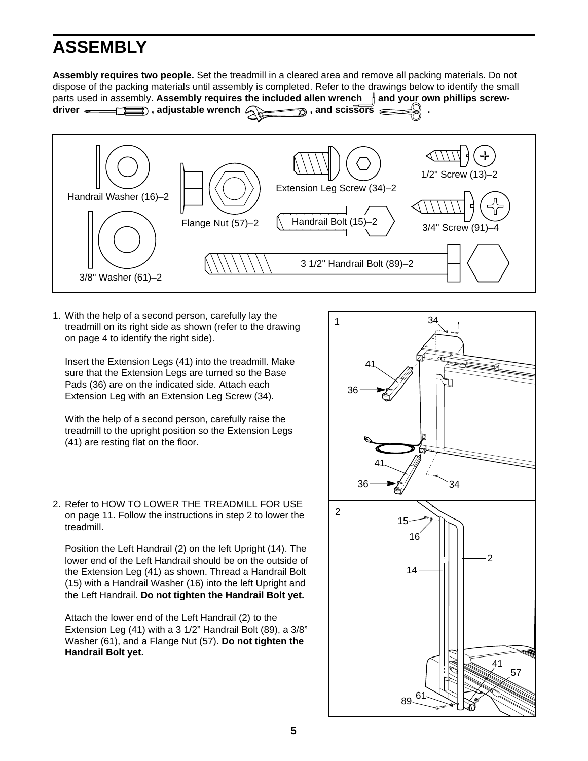# **ASSEMBLY**

**Assembly requires two people.** Set the treadmill in a cleared area and remove all packing materials. Do not dispose of the packing materials until assembly is completed. Refer to the drawings below to identify the small parts used in assembly. Assembly requires the included allen wrench **and your own phillips screw**driver  $\longleftarrow$   $\left(\frac{1}{\sqrt{2}}\right)$ , adjustable wrench  $\left(\sqrt{2}\right)$ , and scissors  $\leq$ 



1. With the help of a second person, carefully lay the treadmill on its right side as shown (refer to the drawing on page 4 to identify the right side).

Insert the Extension Legs (41) into the treadmill. Make sure that the Extension Legs are turned so the Base Pads (36) are on the indicated side. Attach each Extension Leg with an Extension Leg Screw (34).

With the help of a second person, carefully raise the treadmill to the upright position so the Extension Legs (41) are resting flat on the floor.

2. Refer to HOW TO LOWER THE TREADMILL FOR USE on page 11. Follow the instructions in step 2 to lower the treadmill.

Position the Left Handrail (2) on the left Upright (14). The lower end of the Left Handrail should be on the outside of the Extension Leg (41) as shown. Thread a Handrail Bolt (15) with a Handrail Washer (16) into the left Upright and the Left Handrail. **Do not tighten the Handrail Bolt yet.** 

Attach the lower end of the Left Handrail (2) to the Extension Leg (41) with a 3 1/2" Handrail Bolt (89), a 3/8" Washer (61), and a Flange Nut (57). **Do not tighten the Handrail Bolt yet.** 

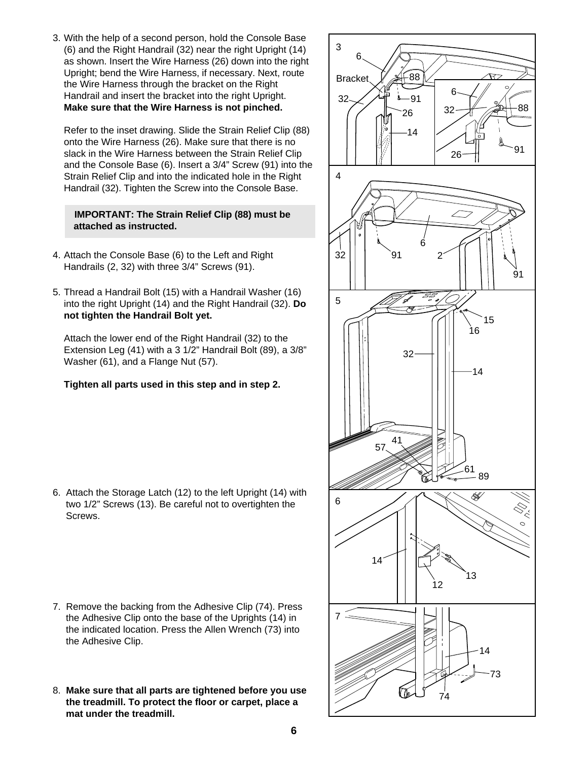3. With the help of a second person, hold the Console Base (6) and the Right Handrail (32) near the right Upright (14) as shown. Insert the Wire Harness (26) down into the right Upright; bend the Wire Harness, if necessary. Next, route the Wire Harness through the bracket on the Right Handrail and insert the bracket into the right Upright. **Make sure that the Wire Harness is not pinched.** 

Refer to the inset drawing. Slide the Strain Relief Clip (88) onto the Wire Harness (26). Make sure that there is no slack in the Wire Harness between the Strain Relief Clip and the Console Base (6). Insert a 3/4" Screw (91) into the Strain Relief Clip and into the indicated hole in the Right Handrail (32). Tighten the Screw into the Console Base.

### **IMPORTANT: The Strain Relief Clip (88) must be attached as instructed.**

- 4. Attach the Console Base (6) to the Left and Right Handrails (2, 32) with three 3/4" Screws (91).
- 5. Thread a Handrail Bolt (15) with a Handrail Washer (16) into the right Upright (14) and the Right Handrail (32). **Do not tighten the Handrail Bolt yet.**

Attach the lower end of the Right Handrail (32) to the Extension Leg (41) with a 3 1/2" Handrail Bolt (89), a 3/8" Washer (61), and a Flange Nut (57).

### **Tighten all parts used in this step and in step 2.**

6. Attach the Storage Latch (12) to the left Upright (14) with two 1/2" Screws (13). Be careful not to overtighten the Screws.

- 7. Remove the backing from the Adhesive Clip (74). Press the Adhesive Clip onto the base of the Uprights (14) in the indicated location. Press the Allen Wrench (73) into the Adhesive Clip.
- 8. **Make sure that all parts are tightened before you use the treadmill. To protect the floor or carpet, place a mat under the treadmill.**

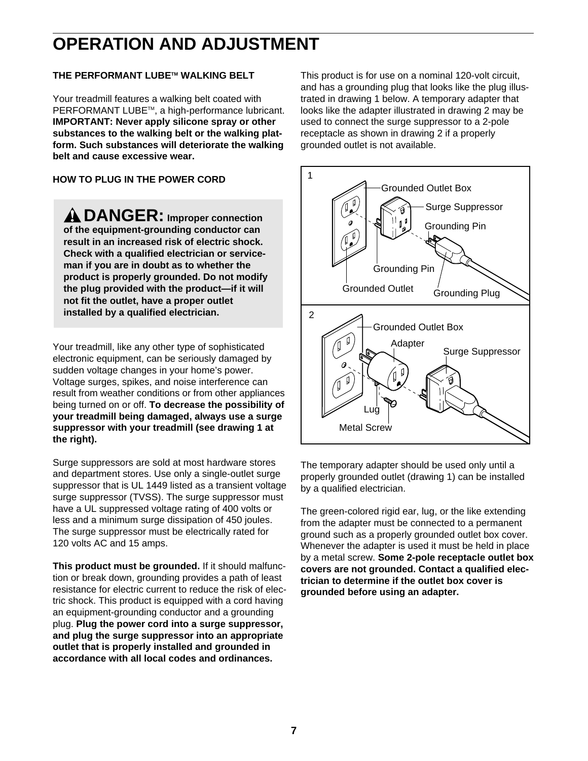# **OPERATION AND ADJUSTMENT**

### **THE PERFORMANT LUBETM WALKING BELT**

Your treadmill features a walking belt coated with PERFORMANT LUBE™, a high-performance lubricant. **IMPORTANT: Never apply silicone spray or other substances to the walking belt or the walking platform. Such substances will deteriorate the walking belt and cause excessive wear.**

### **HOW TO PLUG IN THE POWER CORD**

**DANGER: Improper connection of the equipment-grounding conductor can result in an increased risk of electric shock. Check with a qualified electrician or serviceman if you are in doubt as to whether the product is properly grounded. Do not modify the plug provided with the product—if it will not fit the outlet, have a proper outlet installed by a qualified electrician.**

Your treadmill, like any other type of sophisticated electronic equipment, can be seriously damaged by sudden voltage changes in your home's power. Voltage surges, spikes, and noise interference can result from weather conditions or from other appliances being turned on or off. **To decrease the possibility of your treadmill being damaged, always use a surge suppressor with your treadmill (see drawing 1 at the right).**

Surge suppressors are sold at most hardware stores and department stores. Use only a single-outlet surge suppressor that is UL 1449 listed as a transient voltage surge suppressor (TVSS). The surge suppressor must have a UL suppressed voltage rating of 400 volts or less and a minimum surge dissipation of 450 joules. The surge suppressor must be electrically rated for 120 volts AC and 15 amps.

**This product must be grounded.** If it should malfunction or break down, grounding provides a path of least resistance for electric current to reduce the risk of electric shock. This product is equipped with a cord having an equipment-grounding conductor and a grounding plug. **Plug the power cord into a surge suppressor, and plug the surge suppressor into an appropriate outlet that is properly installed and grounded in accordance with all local codes and ordinances.**

This product is for use on a nominal 120-volt circuit, and has a grounding plug that looks like the plug illustrated in drawing 1 below. A temporary adapter that looks like the adapter illustrated in drawing 2 may be used to connect the surge suppressor to a 2-pole receptacle as shown in drawing 2 if a properly grounded outlet is not available.



The temporary adapter should be used only until a properly grounded outlet (drawing 1) can be installed by a qualified electrician.

The green-colored rigid ear, lug, or the like extending from the adapter must be connected to a permanent ground such as a properly grounded outlet box cover. Whenever the adapter is used it must be held in place by a metal screw. **Some 2-pole receptacle outlet box covers are not grounded. Contact a qualified electrician to determine if the outlet box cover is grounded before using an adapter.**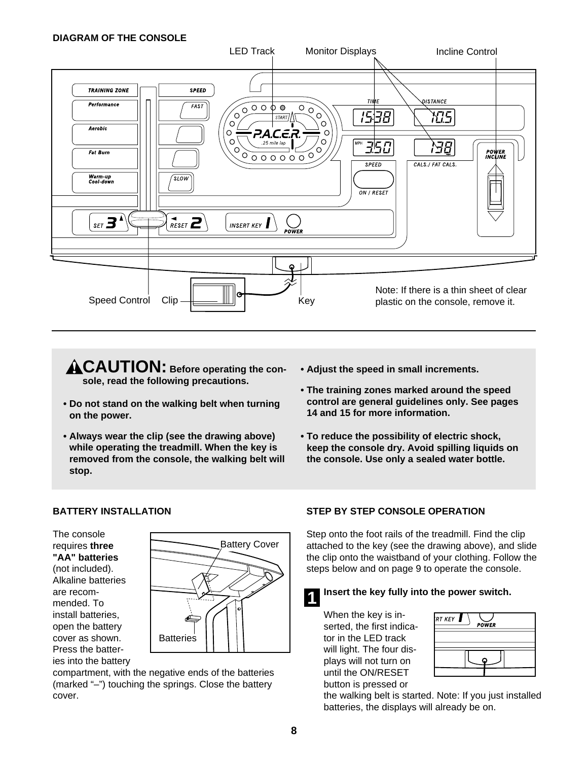### **DIAGRAM OF THE CONSOLE**



ACAUTION: Before operating the con**sole, read the following precautions.**

- **Do not stand on the walking belt when turning on the power.**
- **Always wear the clip (see the drawing above) while operating the treadmill. When the key is removed from the console, the walking belt will stop.**
- **Adjust the speed in small increments.**
- **The training zones marked around the speed control are general guidelines only. See pages 14 and 15 for more information.**
- **To reduce the possibility of electric shock, keep the console dry. Avoid spilling liquids on the console. Use only a sealed water bottle.**

### **BATTERY INSTALLATION**

The console requires **three "AA" batteries** (not included). Alkaline batteries are recommended. To install batteries, open the battery cover as shown. Press the batteries into the battery



compartment, with the negative ends of the batteries (marked "–") touching the springs. Close the battery cover.

### **STEP BY STEP CONSOLE OPERATION**

Step onto the foot rails of the treadmill. Find the clip attached to the key (see the drawing above), and slide the clip onto the waistband of your clothing. Follow the steps below and on page 9 to operate the console.

### **Insert the key fully into the power switch.**

**1**

When the key is inserted, the first indicator in the LED track will light. The four displays will not turn on until the ON/RESET button is pressed or



the walking belt is started. Note: If you just installed batteries, the displays will already be on.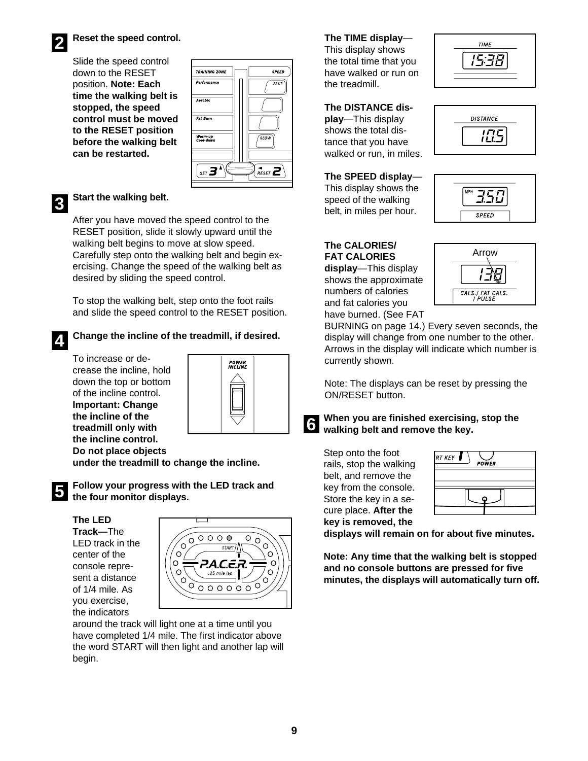

**3**

**4**

**5**

### **Reset the speed control.**

Slide the speed control down to the RESET position. **Note: Each time the walking belt is stopped, the speed control must be moved to the RESET position before the walking belt can be restarted.** 



### **Start the walking belt.**

After you have moved the speed control to the RESET position, slide it slowly upward until the walking belt begins to move at slow speed. Carefully step onto the walking belt and begin exercising. Change the speed of the walking belt as desired by sliding the speed control.

To stop the walking belt, step onto the foot rails and slide the speed control to the RESET position.

### **Change the incline of the treadmill, if desired.**

To increase or decrease the incline, hold down the top or bottom of the incline control. **Important: Change the incline of the treadmill only with the incline control. Do not place objects**



**6**

**under the treadmill to change the incline.** 

**Follow your progress with the LED track and the four monitor displays.**

### **The LED**

**Track—**The LED track in the center of the console represent a distance of 1/4 mile. As you exercise, the indicators



around the track will light one at a time until you have completed 1/4 mile. The first indicator above the word START will then light and another lap will begin.

### **The TIME display**—

This display shows the total time that you have walked or run on the treadmill.



**DISTANCE IES** 

### **The DISTANCE dis-**

**play**—This display shows the total distance that you have walked or run, in miles.

**The SPEED display**—

This display shows the speed of the walking belt, in miles per hour.



### **The CALORIES/ FAT CALORIES**

**display**—This display shows the approximate numbers of calories and fat calories you have burned. (See FAT



BURNING on page 14.) Every seven seconds, the display will change from one number to the other. Arrows in the display will indicate which number is currently shown.

Note: The displays can be reset by pressing the ON/RESET button.

### **When you are finished exercising, stop the walking belt and remove the key.**

Step onto the foot rails, stop the walking belt, and remove the key from the console. Store the key in a secure place. **After the key is removed, the**



**displays will remain on for about five minutes.** 

**Note: Any time that the walking belt is stopped and no console buttons are pressed for five minutes, the displays will automatically turn off.**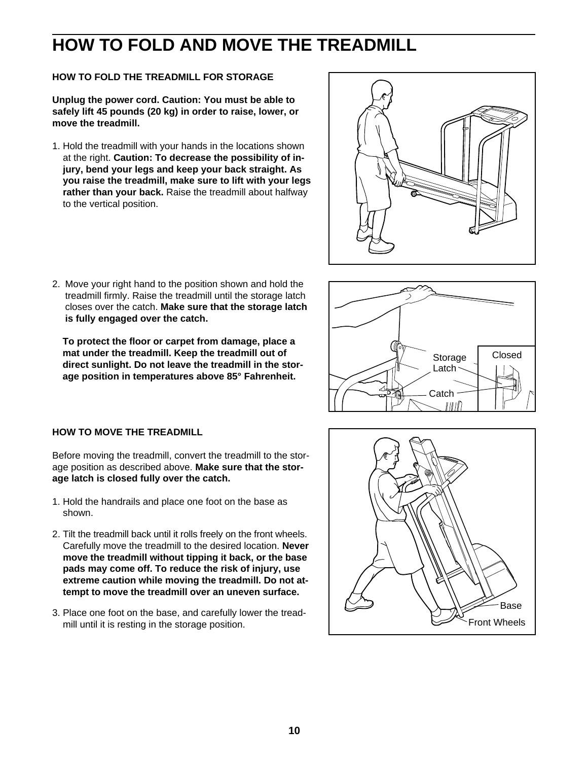# **HOW TO FOLD AND MOVE THE TREADMILL**

### **HOW TO FOLD THE TREADMILL FOR STORAGE**

**Unplug the power cord. Caution: You must be able to safely lift 45 pounds (20 kg) in order to raise, lower, or move the treadmill.** 

1. Hold the treadmill with your hands in the locations shown at the right. **Caution: To decrease the possibility of injury, bend your legs and keep your back straight. As you raise the treadmill, make sure to lift with your legs rather than your back.** Raise the treadmill about halfway to the vertical position.



2. Move your right hand to the position shown and hold the treadmill firmly. Raise the treadmill until the storage latch closes over the catch. **Make sure that the storage latch is fully engaged over the catch.** 

**To protect the floor or carpet from damage, place a mat under the treadmill. Keep the treadmill out of direct sunlight. Do not leave the treadmill in the storage position in temperatures above 85° Fahrenheit.**



### **HOW TO MOVE THE TREADMILL**

Before moving the treadmill, convert the treadmill to the storage position as described above. **Make sure that the storage latch is closed fully over the catch.** 

- 1. Hold the handrails and place one foot on the base as shown.
- 2. Tilt the treadmill back until it rolls freely on the front wheels. Carefully move the treadmill to the desired location. **Never move the treadmill without tipping it back, or the base pads may come off. To reduce the risk of injury, use extreme caution while moving the treadmill. Do not attempt to move the treadmill over an uneven surface.**
- 3. Place one foot on the base, and carefully lower the treadmill until it is resting in the storage position.

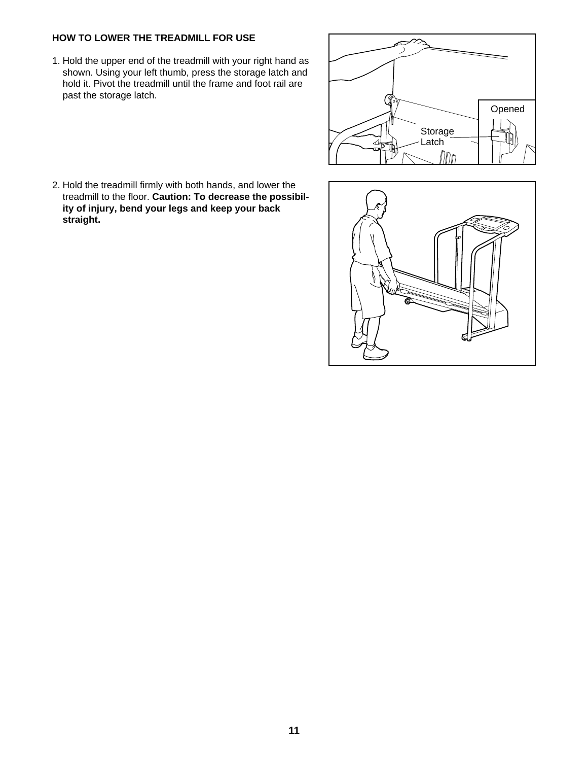### **HOW TO LOWER THE TREADMILL FOR USE**

1. Hold the upper end of the treadmill with your right hand as shown. Using your left thumb, press the storage latch and hold it. Pivot the treadmill until the frame and foot rail are past the storage latch.



2. Hold the treadmill firmly with both hands, and lower the treadmill to the floor. **Caution: To decrease the possibility of injury, bend your legs and keep your back straight.**

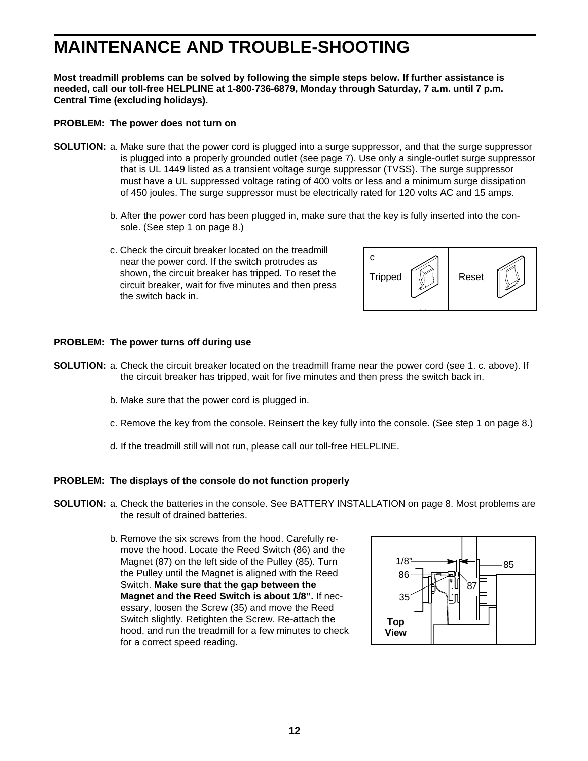# **MAINTENANCE AND TROUBLE-SHOOTING**

**Most treadmill problems can be solved by following the simple steps below. If further assistance is needed, call our toll-free HELPLINE at 1-800-736-6879, Monday through Saturday, 7 a.m. until 7 p.m. Central Time (excluding holidays).** 

### **PROBLEM: The power does not turn on**

- **SOLUTION:** a. Make sure that the power cord is plugged into a surge suppressor, and that the surge suppressor is plugged into a properly grounded outlet (see page 7). Use only a single-outlet surge suppressor that is UL 1449 listed as a transient voltage surge suppressor (TVSS). The surge suppressor must have a UL suppressed voltage rating of 400 volts or less and a minimum surge dissipation of 450 joules. The surge suppressor must be electrically rated for 120 volts AC and 15 amps.
	- b. After the power cord has been plugged in, make sure that the key is fully inserted into the console. (See step 1 on page 8.)
	- c. Check the circuit breaker located on the treadmill near the power cord. If the switch protrudes as shown, the circuit breaker has tripped. To reset the circuit breaker, wait for five minutes and then press the switch back in.



### **PROBLEM: The power turns off during use**

- **SOLUTION:** a. Check the circuit breaker located on the treadmill frame near the power cord (see 1. c. above). If the circuit breaker has tripped, wait for five minutes and then press the switch back in.
	- b. Make sure that the power cord is plugged in.
	- c. Remove the key from the console. Reinsert the key fully into the console. (See step 1 on page 8.)
	- d. If the treadmill still will not run, please call our toll-free HELPLINE.

### **PROBLEM: The displays of the console do not function properly**

- **SOLUTION:** a. Check the batteries in the console. See BATTERY INSTALLATION on page 8. Most problems are the result of drained batteries.
	- b. Remove the six screws from the hood. Carefully remove the hood. Locate the Reed Switch (86) and the Magnet (87) on the left side of the Pulley (85). Turn the Pulley until the Magnet is aligned with the Reed Switch. **Make sure that the gap between the Magnet and the Reed Switch is about 1/8".** If necessary, loosen the Screw (35) and move the Reed Switch slightly. Retighten the Screw. Re-attach the hood, and run the treadmill for a few minutes to check for a correct speed reading.

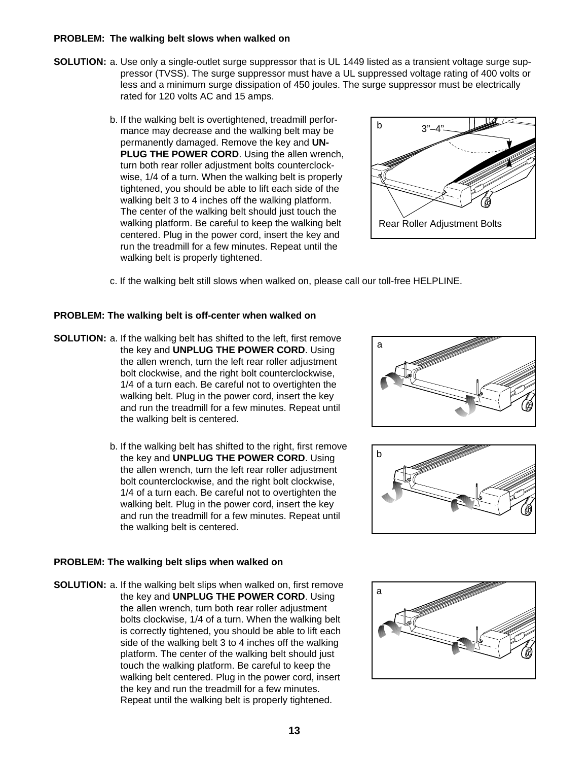### **PROBLEM: The walking belt slows when walked on**

- **SOLUTION:** a. Use only a single-outlet surge suppressor that is UL 1449 listed as a transient voltage surge suppressor (TVSS). The surge suppressor must have a UL suppressed voltage rating of 400 volts or less and a minimum surge dissipation of 450 joules. The surge suppressor must be electrically rated for 120 volts AC and 15 amps.
	- b. If the walking belt is overtightened, treadmill performance may decrease and the walking belt may be permanently damaged. Remove the key and **UN-PLUG THE POWER CORD.** Using the allen wrench, turn both rear roller adjustment bolts counterclockwise, 1/4 of a turn. When the walking belt is properly tightened, you should be able to lift each side of the walking belt 3 to 4 inches off the walking platform. The center of the walking belt should just touch the walking platform. Be careful to keep the walking belt centered. Plug in the power cord, insert the key and run the treadmill for a few minutes. Repeat until the walking belt is properly tightened.



c. If the walking belt still slows when walked on, please call our toll-free HELPLINE.

### **PROBLEM: The walking belt is off-center when walked on**

- **SOLUTION:** a. If the walking belt has shifted to the left, first remove the key and **UNPLUG THE POWER CORD**. Using the allen wrench, turn the left rear roller adjustment bolt clockwise, and the right bolt counterclockwise, 1/4 of a turn each. Be careful not to overtighten the walking belt. Plug in the power cord, insert the key and run the treadmill for a few minutes. Repeat until the walking belt is centered.
	- b. If the walking belt has shifted to the right, first remove the key and **UNPLUG THE POWER CORD**. Using the allen wrench, turn the left rear roller adjustment bolt counterclockwise, and the right bolt clockwise, 1/4 of a turn each. Be careful not to overtighten the walking belt. Plug in the power cord, insert the key and run the treadmill for a few minutes. Repeat until the walking belt is centered.

# a



### **PROBLEM: The walking belt slips when walked on**

**SOLUTION:** a. If the walking belt slips when walked on, first remove the key and **UNPLUG THE POWER CORD**. Using the allen wrench, turn both rear roller adjustment bolts clockwise, 1/4 of a turn. When the walking belt is correctly tightened, you should be able to lift each side of the walking belt 3 to 4 inches off the walking platform. The center of the walking belt should just touch the walking platform. Be careful to keep the walking belt centered. Plug in the power cord, insert the key and run the treadmill for a few minutes. Repeat until the walking belt is properly tightened.

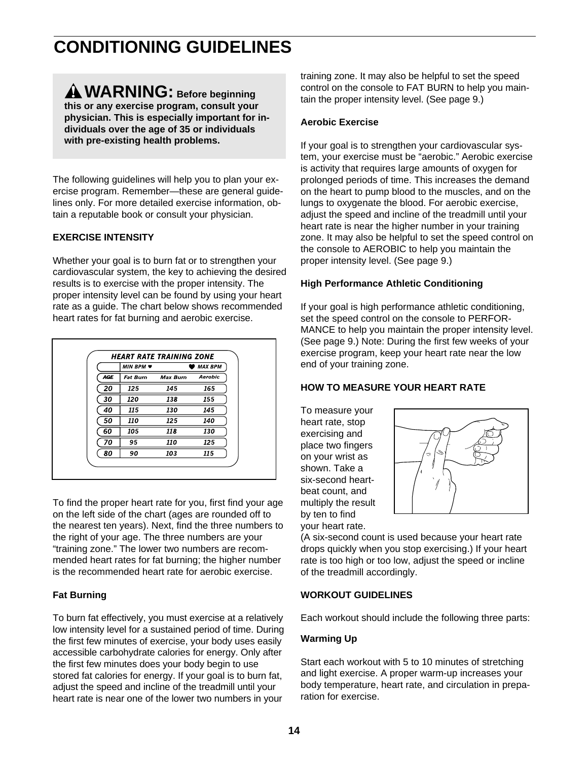# **CONDITIONING GUIDELINES**

# **WARNING: Before beginning**

**this or any exercise program, consult your physician. This is especially important for individuals over the age of 35 or individuals with pre-existing health problems.**

The following guidelines will help you to plan your exercise program. Remember—these are general guidelines only. For more detailed exercise information, obtain a reputable book or consult your physician.

### **EXERCISE INTENSITY**

Whether your goal is to burn fat or to strengthen your cardiovascular system, the key to achieving the desired results is to exercise with the proper intensity. The proper intensity level can be found by using your heart rate as a guide. The chart below shows recommended heart rates for fat burning and aerobic exercise.

|            | $MIN$ BPM $\bullet$ |          | <b>MAX BPM</b> |
|------------|---------------------|----------|----------------|
| <b>AGE</b> | <b>Fat Burn</b>     | Max Burn | <b>Aerobic</b> |
| 20         | 125                 | 145      | 165            |
| 30         | 120                 | 138      | 155            |
| 40         | 115                 | 130      | 145            |
| 50         | 110                 | 125      | 140            |
| 60         | 105                 | 118      | 130            |
| 70         | 95                  | 110      | 125            |
| 80         | 90                  | 103      | 115            |

To find the proper heart rate for you, first find your age on the left side of the chart (ages are rounded off to the nearest ten years). Next, find the three numbers to the right of your age. The three numbers are your "training zone." The lower two numbers are recommended heart rates for fat burning; the higher number is the recommended heart rate for aerobic exercise.

### **Fat Burning**

To burn fat effectively, you must exercise at a relatively low intensity level for a sustained period of time. During the first few minutes of exercise, your body uses easily accessible carbohydrate calories for energy. Only after the first few minutes does your body begin to use stored fat calories for energy. If your goal is to burn fat, adjust the speed and incline of the treadmill until your heart rate is near one of the lower two numbers in your

training zone. It may also be helpful to set the speed control on the console to FAT BURN to help you maintain the proper intensity level. (See page 9.)

### **Aerobic Exercise**

If your goal is to strengthen your cardiovascular system, your exercise must be "aerobic." Aerobic exercise is activity that requires large amounts of oxygen for prolonged periods of time. This increases the demand on the heart to pump blood to the muscles, and on the lungs to oxygenate the blood. For aerobic exercise, adjust the speed and incline of the treadmill until your heart rate is near the higher number in your training zone. It may also be helpful to set the speed control on the console to AEROBIC to help you maintain the proper intensity level. (See page 9.)

### **High Performance Athletic Conditioning**

If your goal is high performance athletic conditioning, set the speed control on the console to PERFOR-MANCE to help you maintain the proper intensity level. (See page 9.) Note: During the first few weeks of your exercise program, keep your heart rate near the low end of your training zone.

### **HOW TO MEASURE YOUR HEART RATE**

To measure your heart rate, stop exercising and place two fingers on your wrist as shown. Take a six-second heartbeat count, and multiply the result by ten to find your heart rate.



(A six-second count is used because your heart rate drops quickly when you stop exercising.) If your heart rate is too high or too low, adjust the speed or incline of the treadmill accordingly.

### **WORKOUT GUIDELINES**

Each workout should include the following three parts:

### **Warming Up**

Start each workout with 5 to 10 minutes of stretching and light exercise. A proper warm-up increases your body temperature, heart rate, and circulation in preparation for exercise.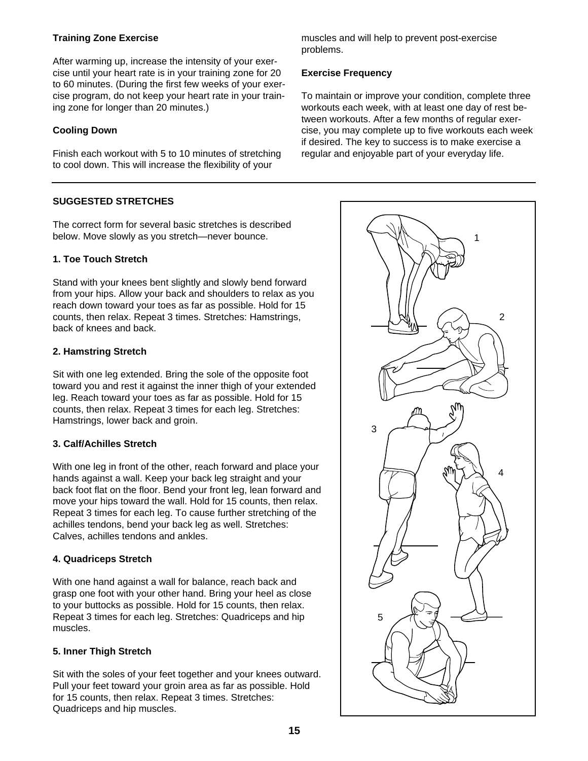### **Training Zone Exercise**

After warming up, increase the intensity of your exercise until your heart rate is in your training zone for 20 to 60 minutes. (During the first few weeks of your exercise program, do not keep your heart rate in your training zone for longer than 20 minutes.)

### **Cooling Down**

Finish each workout with 5 to 10 minutes of stretching to cool down. This will increase the flexibility of your

### **SUGGESTED STRETCHES**

The correct form for several basic stretches is described below. Move slowly as you stretch—never bounce.

### **1. Toe Touch Stretch**

Stand with your knees bent slightly and slowly bend forward from your hips. Allow your back and shoulders to relax as you reach down toward your toes as far as possible. Hold for 15 counts, then relax. Repeat 3 times. Stretches: Hamstrings, back of knees and back.

### **2. Hamstring Stretch**

Sit with one leg extended. Bring the sole of the opposite foot toward you and rest it against the inner thigh of your extended leg. Reach toward your toes as far as possible. Hold for 15 counts, then relax. Repeat 3 times for each leg. Stretches: Hamstrings, lower back and groin.

### **3. Calf/Achilles Stretch**

With one leg in front of the other, reach forward and place your hands against a wall. Keep your back leg straight and your back foot flat on the floor. Bend your front leg, lean forward and move your hips toward the wall. Hold for 15 counts, then relax. Repeat 3 times for each leg. To cause further stretching of the achilles tendons, bend your back leg as well. Stretches: Calves, achilles tendons and ankles.

### **4. Quadriceps Stretch**

With one hand against a wall for balance, reach back and grasp one foot with your other hand. Bring your heel as close to your buttocks as possible. Hold for 15 counts, then relax. Repeat 3 times for each leg. Stretches: Quadriceps and hip muscles.

### **5. Inner Thigh Stretch**

Sit with the soles of your feet together and your knees outward. Pull your feet toward your groin area as far as possible. Hold for 15 counts, then relax. Repeat 3 times. Stretches: Quadriceps and hip muscles.

muscles and will help to prevent post-exercise problems.

### **Exercise Frequency**

To maintain or improve your condition, complete three workouts each week, with at least one day of rest between workouts. After a few months of regular exercise, you may complete up to five workouts each week if desired. The key to success is to make exercise a regular and enjoyable part of your everyday life.

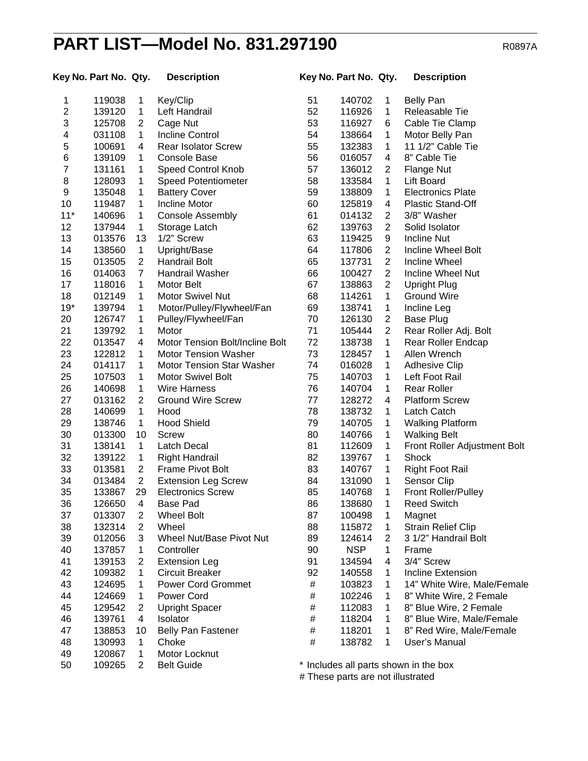# **PART LIST—Model No. 831.297190** R0897A

|                  | Key No. Part No. Qty. |                | <b>Description</b>               |      | Key No. Part No. Qty. |                | <b>Description</b>                    |
|------------------|-----------------------|----------------|----------------------------------|------|-----------------------|----------------|---------------------------------------|
| 1                | 119038                | 1              | Key/Clip                         | 51   | 140702                | $\mathbf 1$    | <b>Belly Pan</b>                      |
| $\boldsymbol{2}$ | 139120                | 1              | Left Handrail                    | 52   | 116926                | $\mathbf 1$    | Releasable Tie                        |
| 3                | 125708                | $\overline{2}$ | Cage Nut                         | 53   | 116927                | 6              | Cable Tie Clamp                       |
| 4                | 031108                | 1              | <b>Incline Control</b>           | 54   | 138664                | $\mathbf 1$    | Motor Belly Pan                       |
| 5                | 100691                | 4              | <b>Rear Isolator Screw</b>       | 55   | 132383                | $\mathbf 1$    | 11 1/2" Cable Tie                     |
| 6                | 139109                | 1              | <b>Console Base</b>              | 56   | 016057                | 4              | 8" Cable Tie                          |
| $\boldsymbol{7}$ | 131161                | 1              | <b>Speed Control Knob</b>        | 57   | 136012                | 2              | <b>Flange Nut</b>                     |
| 8                | 128093                | 1              | <b>Speed Potentiometer</b>       | 58   | 133584                | $\mathbf 1$    | Lift Board                            |
| $\boldsymbol{9}$ | 135048                | 1              | <b>Battery Cover</b>             | 59   | 138809                | $\mathbf 1$    | <b>Electronics Plate</b>              |
| 10               | 119487                | 1              | <b>Incline Motor</b>             | 60   | 125819                | 4              | Plastic Stand-Off                     |
| $11*$            | 140696                | 1              | <b>Console Assembly</b>          | 61   | 014132                | 2              | 3/8" Washer                           |
| 12               | 137944                | 1              | Storage Latch                    | 62   | 139763                | $\overline{2}$ | Solid Isolator                        |
| 13               | 013576                | 13             | 1/2" Screw                       | 63   | 119425                | 9              | <b>Incline Nut</b>                    |
| 14               | 138560                | $\mathbf{1}$   | Upright/Base                     | 64   | 117806                | $\overline{2}$ | <b>Incline Wheel Bolt</b>             |
| 15               | 013505                | $\overline{2}$ | Handrail Bolt                    | 65   | 137731                | $\overline{2}$ | <b>Incline Wheel</b>                  |
| 16               | 014063                | $\overline{7}$ | Handrail Washer                  | 66   | 100427                | $\overline{2}$ | <b>Incline Wheel Nut</b>              |
| 17               | 118016                | $\mathbf{1}$   | Motor Belt                       | 67   | 138863                | $\overline{2}$ | <b>Upright Plug</b>                   |
| 18               | 012149                | 1              | Motor Swivel Nut                 | 68   | 114261                | $\mathbf 1$    | <b>Ground Wire</b>                    |
| $19*$            | 139794                | 1              | Motor/Pulley/Flywheel/Fan        | 69   | 138741                | $\mathbf{1}$   | Incline Leg                           |
| 20               | 126747                | 1              | Pulley/Flywheel/Fan              | 70   | 126130                | $\overline{2}$ | <b>Base Plug</b>                      |
| 21               | 139792                | 1              | Motor                            | 71   | 105444                | $\overline{2}$ | Rear Roller Adj. Bolt                 |
| 22               | 013547                | 4              | Motor Tension Bolt/Incline Bolt  | 72   | 138738                | $\mathbf 1$    | Rear Roller Endcap                    |
| 23               | 122812                | 1              | <b>Motor Tension Washer</b>      | 73   | 128457                | $\mathbf 1$    | Allen Wrench                          |
| 24               | 014117                | 1              | <b>Motor Tension Star Washer</b> | 74   | 016028                | 1              | <b>Adhesive Clip</b>                  |
| 25               | 107503                | 1              | <b>Motor Swivel Bolt</b>         | 75   | 140703                | $\mathbf 1$    | Left Foot Rail                        |
| 26               | 140698                | 1              | <b>Wire Harness</b>              | 76   | 140704                | $\mathbf 1$    | <b>Rear Roller</b>                    |
| 27               | 013162                | $\overline{c}$ | <b>Ground Wire Screw</b>         | 77   | 128272                | 4              | <b>Platform Screw</b>                 |
| 28               | 140699                | 1              | Hood                             | 78   | 138732                | $\mathbf 1$    | Latch Catch                           |
| 29               | 138746                | 1              | <b>Hood Shield</b>               | 79   | 140705                | $\mathbf{1}$   | <b>Walking Platform</b>               |
| 30               | 013300                | 10             | <b>Screw</b>                     | 80   | 140766                | 1              | <b>Walking Belt</b>                   |
| 31               | 138141                | 1              | Latch Decal                      | 81   | 112609                | $\mathbf 1$    | Front Roller Adjustment Bolt          |
| 32               | 139122                | 1              | <b>Right Handrail</b>            | 82   | 139767                | $\mathbf 1$    | Shock                                 |
| 33               | 013581                | $\overline{c}$ | Frame Pivot Bolt                 | 83   | 140767                | $\mathbf{1}$   | <b>Right Foot Rail</b>                |
| 34               | 013484                | $\overline{2}$ | <b>Extension Leg Screw</b>       | 84   | 131090                | $\mathbf 1$    | Sensor Clip                           |
| 35               | 133867                | 29             | <b>Electronics Screw</b>         | 85   | 140768                | $\mathbf 1$    | <b>Front Roller/Pulley</b>            |
| 36               | 126650                | $\overline{4}$ | Base Pad                         | 86   | 138680                | $\mathbf{1}$   | <b>Reed Switch</b>                    |
| 37               | 013307                | $\overline{2}$ | <b>Wheel Bolt</b>                | 87   | 100498                | 1              | Magnet                                |
| 38               | 132314                | $\overline{2}$ | Wheel                            | 88   | 115872                | $\mathbf{1}$   | <b>Strain Relief Clip</b>             |
| 39               | 012056                | 3              | Wheel Nut/Base Pivot Nut         | 89   | 124614                | $\overline{2}$ | 3 1/2" Handrail Bolt                  |
| 40               | 137857                | 1              | Controller                       | 90   | <b>NSP</b>            | $\mathbf{1}$   | Frame                                 |
| 41               | 139153                | $\overline{2}$ | <b>Extension Leg</b>             | 91   | 134594                | 4              | 3/4" Screw                            |
| 42               | 109382                | 1              | <b>Circuit Breaker</b>           | 92   | 140558                | $\mathbf 1$    | Incline Extension                     |
| 43               | 124695                | 1              | <b>Power Cord Grommet</b>        | $\#$ | 103823                | 1              | 14" White Wire, Male/Female           |
| 44               | 124669                | 1              | Power Cord                       | $\#$ | 102246                | 1              | 8" White Wire, 2 Female               |
| 45               | 129542                | $\overline{2}$ | <b>Upright Spacer</b>            | $\#$ | 112083                | 1              | 8" Blue Wire, 2 Female                |
| 46               | 139761                | 4              | Isolator                         | $\#$ | 118204                | 1              | 8" Blue Wire, Male/Female             |
| 47               | 138853                | 10             | Belly Pan Fastener               | $\#$ | 118201                | 1              | 8" Red Wire, Male/Female              |
| 48               | 130993                | 1              | Choke                            | $\#$ | 138782                | $\mathbf 1$    | User's Manual                         |
| 49               | 120867                | 1              | Motor Locknut                    |      |                       |                |                                       |
| 50               | 109265                | $\overline{c}$ | <b>Belt Guide</b>                |      |                       |                | * Includes all parts shown in the box |
|                  |                       |                |                                  |      |                       |                |                                       |

# These parts are not illustrated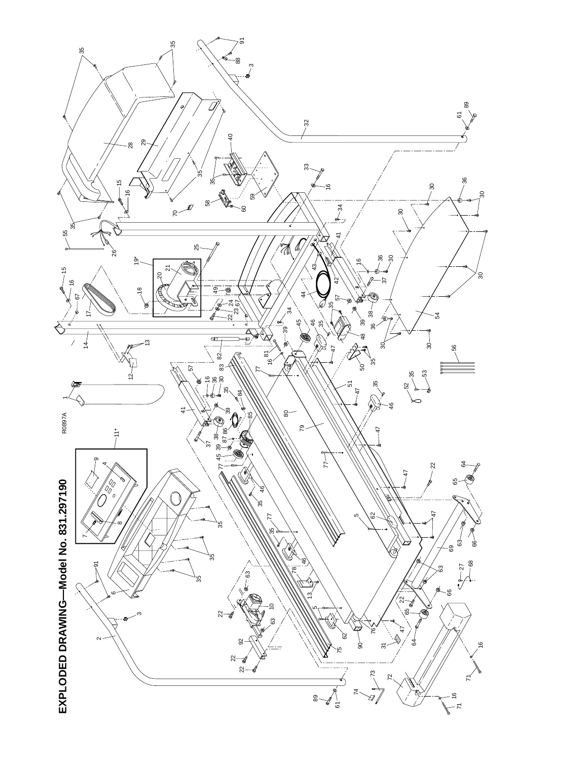